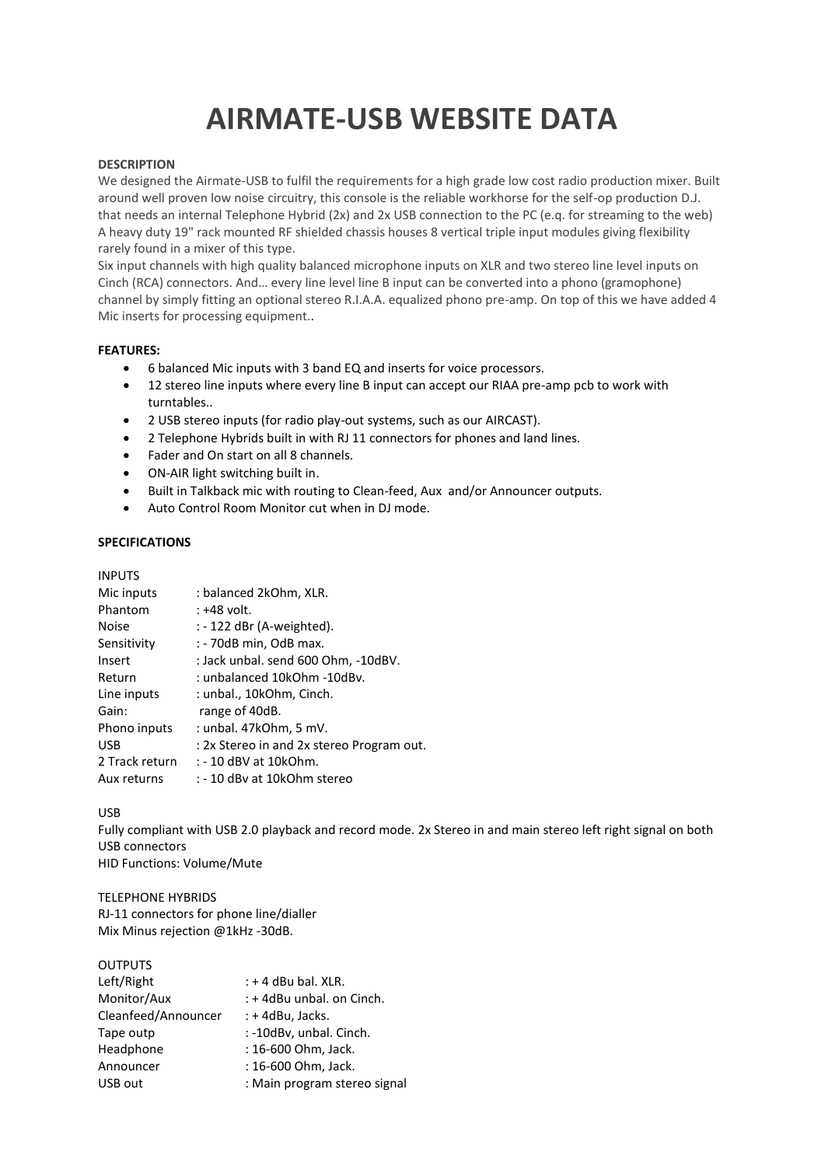# **AIRMATE-USB WEBSITE DATA**

#### **DESCRIPTION**

We designed the Airmate-USB to fulfil the requirements for a high grade low cost radio production mixer. Built around well proven low noise circuitry, this console is the reliable workhorse for the self-op production D.J. that needs an internal Telephone Hybrid (2x) and 2x USB connection to the PC (e.q. for streaming to the web) A heavy duty 19" rack mounted RF shielded chassis houses 8 vertical triple input modules giving flexibility rarely found in a mixer of this type.

Six input channels with high quality balanced microphone inputs on XLR and two stereo line level inputs on Cinch (RCA) connectors. And… every line level line B input can be converted into a phono (gramophone) channel by simply fitting an optional stereo R.I.A.A. equalized phono pre-amp. On top of this we have added 4 Mic inserts for processing equipment..

#### **FEATURES:**

- 6 balanced Mic inputs with 3 band EQ and inserts for voice processors.
- 12 stereo line inputs where every line B input can accept our RIAA pre-amp pcb to work with turntables..
- 2 USB stereo inputs (for radio play-out systems, such as our AIRCAST).
- 2 Telephone Hybrids built in with RJ 11 connectors for phones and land lines.
- Fader and On start on all 8 channels.
- ON-AIR light switching built in.
- Built in Talkback mic with routing to Clean-feed, Aux and/or Announcer outputs.
- Auto Control Room Monitor cut when in DJ mode.

### **SPECIFICATIONS**

| <b>INPUTS</b>  |                                           |
|----------------|-------------------------------------------|
| Mic inputs     | : balanced 2kOhm, XLR.                    |
| Phantom        | : +48 volt.                               |
| <b>Noise</b>   | : - 122 dBr (A-weighted).                 |
| Sensitivity    | : - 70dB min, OdB max.                    |
| Insert         | : Jack unbal. send 600 Ohm, -10dBV.       |
| Return         | : unbalanced 10kOhm -10dBv.               |
| Line inputs    | : unbal., 10kOhm, Cinch.                  |
| Gain:          | range of 40dB.                            |
| Phono inputs   | : unbal. 47kOhm, 5 mV.                    |
| <b>USB</b>     | : 2x Stereo in and 2x stereo Program out. |
| 2 Track return | : - 10 dBV at 10kOhm.                     |
| Aux returns    | : - 10 dBy at 10kOhm stereo               |

#### USB

Fully compliant with USB 2.0 playback and record mode. 2x Stereo in and main stereo left right signal on both USB connectors HID Functions: Volume/Mute

#### TELEPHONE HYBRIDS

RJ-11 connectors for phone line/dialler Mix Minus rejection @1kHz -30dB.

### OUTPUTS

| Left/Right          | $: +4$ dBu bal. XLR.         |
|---------------------|------------------------------|
| Monitor/Aux         | : + 4dBu unbal. on Cinch.    |
| Cleanfeed/Announcer | $: +4$ dBu, Jacks.           |
| Tape outp           | : -10dBv, unbal. Cinch.      |
| Headphone           | : 16-600 Ohm, Jack.          |
| Announcer           | : 16-600 Ohm, Jack.          |
| USB out             | : Main program stereo signal |